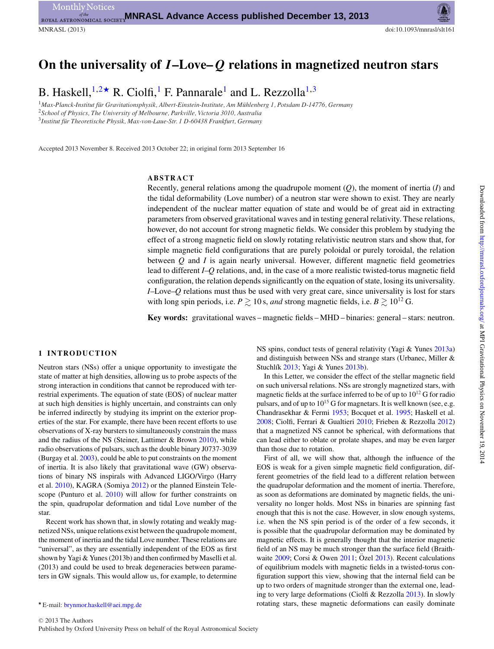# **On the universality of** *I***–Love–** *Q* **relations in magnetized neutron stars**

B. Haskell,  $1,2*$  $1,2*$  $1,2*$  R. Ciolfi, F. Pannarale<sup>[1](#page-0-0)</sup> and L. Rezzolla<sup>1,[3](#page-0-3)</sup>

<span id="page-0-3"></span><span id="page-0-1"></span><span id="page-0-0"></span><sup>1</sup>Max-Planck-Institut für Gravitationsphysik, Albert-Einstein-Institute, Am Mühlenberg 1, Potsdam D-14776, Germany <sup>2</sup>*School of Physics, The University of Melbourne, Parkville, Victoria 3010, Australia* <sup>3</sup>*Institut fur Theoretische Physik, Max-von-Laue-Str. 1 D-60438 Frankfurt, Germany ¨*

Accepted 2013 November 8. Received 2013 October 22; in original form 2013 September 16

## **ABSTRACT**

Recently, general relations among the quadrupole moment (*Q*), the moment of inertia (*I*) and the tidal deformability (Love number) of a neutron star were shown to exist. They are nearly independent of the nuclear matter equation of state and would be of great aid in extracting parameters from observed gravitational waves and in testing general relativity. These relations, however, do not account for strong magnetic fields. We consider this problem by studying the effect of a strong magnetic field on slowly rotating relativistic neutron stars and show that, for simple magnetic field configurations that are purely poloidal or purely toroidal, the relation between *Q* and *I* is again nearly universal. However, different magnetic field geometries lead to different *I*–*Q* relations, and, in the case of a more realistic twisted-torus magnetic field configuration, the relation depends significantly on the equation of state, losing its universality. *I*–Love–*Q* relations must thus be used with very great care, since universality is lost for stars with long spin periods, i.e.  $P \gtrsim 10$  s, *and* strong magnetic fields, i.e.  $B \gtrsim 10^{12}$  G.

**Key words:** gravitational waves – magnetic fields – MHD – binaries: general – stars: neutron.

## **1 INTRODUCTION**

Neutron stars (NSs) offer a unique opportunity to investigate the state of matter at high densities, allowing us to probe aspects of the strong interaction in conditions that cannot be reproduced with terrestrial experiments. The equation of state (EOS) of nuclear matter at such high densities is highly uncertain, and constraints can only be inferred indirectly by studying its imprint on the exterior properties of the star. For example, there have been recent efforts to use observations of X-ray bursters to simultaneously constrain the mass and the radius of the NS (Steiner, Lattimer & Brown [2010\)](#page-4-0), while radio observations of pulsars, such as the double binary J0737-3039 (Burgay et al. [2003\)](#page-4-1), could be able to put constraints on the moment of inertia. It is also likely that gravitational wave (GW) observations of binary NS inspirals with Advanced LIGO/Virgo (Harry et al. [2010\)](#page-4-2), KAGRA (Somiya [2012\)](#page-4-3) or the planned Einstein Telescope (Punturo et al. [2010\)](#page-4-4) will allow for further constraints on the spin, quadrupolar deformation and tidal Love number of the star.

Recent work has shown that, in slowly rotating and weakly magnetized NSs, unique relations exist between the quadrupole moment, the moment of inertia and the tidal Love number. These relations are "universal", as they are essentially independent of the EOS as first shown by Yagi & Yunes (2013b) and then confirmed by Maselli et al. (2013) and could be used to break degeneracies between parameters in GW signals. This would allow us, for example, to determine

<span id="page-0-2"></span>- E-mail: [brynmor.haskell@aei.mpg.de](mailto:brynmor.haskell@aei.mpg.de)

NS spins, conduct tests of general relativity (Yagi & Yunes [2013a\)](#page-4-5) and distinguish between NSs and strange stars (Urbanec, Miller & Stuchlík [2013;](#page-4-6) Yagi & Yunes [2013b\)](#page-4-7).

In this Letter, we consider the effect of the stellar magnetic field on such universal relations. NSs are strongly magnetized stars, with magnetic fields at the surface inferred to be of up to  $10^{12}$  G for radio pulsars, and of up to  $10^{15}$  G for magnetars. It is well known (see, e.g. Chandrasekhar & Fermi [1953;](#page-4-8) Bocquet et al. [1995;](#page-4-9) Haskell et al. [2008;](#page-4-10) Ciolfi, Ferrari & Gualtieri [2010;](#page-4-11) Frieben & Rezzolla [2012\)](#page-4-12) that a magnetized NS cannot be spherical, with deformations that can lead either to oblate or prolate shapes, and may be even larger than those due to rotation.

First of all, we will show that, although the influence of the EOS is weak for a given simple magnetic field configuration, different geometries of the field lead to a different relation between the quadrupolar deformation and the moment of inertia. Therefore, as soon as deformations are dominated by magnetic fields, the universality no longer holds. Most NSs in binaries are spinning fast enough that this is not the case. However, in slow enough systems, i.e. when the NS spin period is of the order of a few seconds, it is possible that the quadrupolar deformation may be dominated by magnetic effects. It is generally thought that the interior magnetic field of an NS may be much stronger than the surface field (Braithwaite  $2009$ ; Corsi & Owen  $2011$ ; Ozel  $2013$ ). Recent calculations of equilibrium models with magnetic fields in a twisted-torus configuration support this view, showing that the internal field can be up to two orders of magnitude stronger than the external one, leading to very large deformations (Ciolfi & Rezzolla [2013\)](#page-4-16). In slowly rotating stars, these magnetic deformations can easily dominate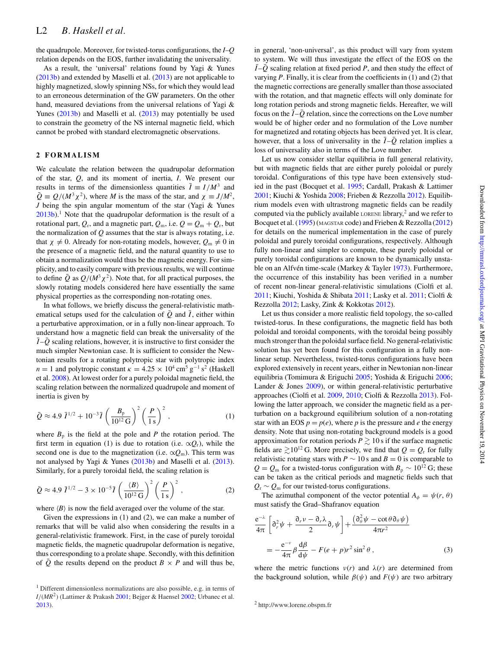the quadrupole. Moreover, for twisted-torus configurations, the *I*–*Q* relation depends on the EOS, further invalidating the universality.

As a result, the 'universal' relations found by Yagi & Yunes [\(2013b\)](#page-4-7) and extended by Maselli et al. [\(2013\)](#page-4-17) are not applicable to highly magnetized, slowly spinning NSs, for which they would lead to an erroneous determination of the GW parameters. On the other hand, measured deviations from the universal relations of Yagi & Yunes [\(2013b\)](#page-4-7) and Maselli et al. [\(2013\)](#page-4-17) may potentially be used to constrain the geometry of the NS internal magnetic field, which cannot be probed with standard electromagnetic observations.

## **2 FORMALISM**

We calculate the relation between the quadrupolar deformation of the star, *Q*, and its moment of inertia, *I*. We present our results in terms of the dimensionless quantities  $\overline{I} = I/M^3$  and  $\overline{Q} \equiv Q/(M^3 \chi^2)$ , where *M* is the mass of the star, and  $\chi \equiv J/M^2$ , *J* being the spin angular momentum of the star (Yagi & Yunes  $2013b$ .<sup>1</sup> Note that the quadrupolar deformation is the result of a rotational part,  $Q_r$ , and a magnetic part,  $Q_m$ , i.e.  $Q = Q_m + Q_r$ , but the normalization of *Q* assumes that the star is always rotating, i.e. that  $\chi \neq 0$ . Already for non-rotating models, however,  $Q_m \neq 0$  in the presence of a magnetic field, and the natural quantity to use to obtain a normalization would thus be the magnetic energy. For simplicity, and to easily compare with previous results, we will continue to define  $\overline{Q}$  as  $Q/(M^3 \chi^2)$ . Note that, for all practical purposes, the slowly rotating models considered here have essentially the same physical properties as the corresponding non-rotating ones.

In what follows, we briefly discuss the general-relativistic mathematical setups used for the calculation of  $\overline{Q}$  and  $\overline{I}$ , either within a perturbative approximation, or in a fully non-linear approach. To understand how a magnetic field can break the universality of the  $\overline{I}$  - $\overline{Q}$  scaling relations, however, it is instructive to first consider the much simpler Newtonian case. It is sufficient to consider the Newtonian results for a rotating polytropic star with polytropic index *n* = 1 and polytropic constant  $\kappa$  = 4.25 × 10<sup>4</sup> cm<sup>5</sup> g<sup>-1</sup> s<sup>2</sup> (Haskell et al. [2008\)](#page-4-10). At lowest order for a purely poloidal magnetic field, the scaling relation between the normalized quadrupole and moment of inertia is given by

$$
\bar{Q} \approx 4.9 \,\bar{I}^{1/2} + 10^{-3} \bar{I} \left(\frac{B_{\rm p}}{10^{12} \,\mathrm{G}}\right)^2 \left(\frac{P}{1 \,\mathrm{s}}\right)^2,\tag{1}
$$

where  $B_p$  is the field at the pole and *P* the rotation period. The first term in equation (1) is due to rotation (i.e.  $\alpha Q_r$ ), while the second one is due to the magnetization (i.e.  $\propto Q_m$ ). This term was not analysed by Yagi & Yunes [\(2013b\)](#page-4-7) and Maselli et al. [\(2013\)](#page-4-17). Similarly, for a purely toroidal field, the scaling relation is

$$
\bar{Q} \approx 4.9 \bar{I}^{1/2} - 3 \times 10^{-5} \bar{I} \left(\frac{\langle B \rangle}{10^{12} \,\mathrm{G}}\right)^2 \left(\frac{P}{1 \,\mathrm{s}}\right)^2,\tag{2}
$$

where  $\langle B \rangle$  is now the field averaged over the volume of the star.

Given the expressions in (1) and (2), we can make a number of remarks that will be valid also when considering the results in a general-relativistic framework. First, in the case of purely toroidal magnetic fields, the magnetic quadrupolar deformation is negative, thus corresponding to a prolate shape. Secondly, with this definition of  $\overline{Q}$  the results depend on the product  $B \times P$  and will thus be,

in general, 'non-universal', as this product will vary from system to system. We will thus investigate the effect of the EOS on the  $\overline{I}$  - $\overline{Q}$  scaling relation at fixed period *P*, and then study the effect of varying *P*. Finally, it is clear from the coefficients in (1) and (2) that the magnetic corrections are generally smaller than those associated with the rotation, and that magnetic effects will only dominate for long rotation periods and strong magnetic fields. Hereafter, we will focus on the  $\overline{I} - \overline{Q}$  relation, since the corrections on the Love number would be of higher order and no formulation of the Love number for magnetized and rotating objects has been derived yet. It is clear, however, that a loss of universality in the  $\overline{I} - \overline{Q}$  relation implies a loss of universality also in terms of the Love number.

Let us now consider stellar equilibria in full general relativity, but with magnetic fields that are either purely poloidal or purely toroidal. Configurations of this type have been extensively studied in the past (Bocquet et al. [1995;](#page-4-9) Cardall, Prakash & Lattimer [2001;](#page-4-20) Kiuchi & Yoshida [2008;](#page-4-21) Frieben & Rezzolla [2012\)](#page-4-12). Equilibrium models even with ultrastrong magnetic fields can be readily computed via the publicly available LORENE library,<sup>2</sup> and we refer to Bocquet et al. [\(1995\)](#page-4-9) (MAGSTAR code) and Frieben & Rezzolla [\(2012\)](#page-4-12) for details on the numerical implementation in the case of purely poloidal and purely toroidal configurations, respectively. Although fully non-linear and simpler to compute, these purely poloidal or purely toroidal configurations are known to be dynamically unsta-ble on an Alfvén time-scale (Markey & Tayler [1973\)](#page-4-22). Furthermore, the occurrence of this instability has been verified in a number of recent non-linear general-relativistic simulations (Ciolfi et al. [2011;](#page-4-23) Kiuchi, Yoshida & Shibata [2011;](#page-4-24) Lasky et al. [2011;](#page-4-25) Ciolfi & Rezzolla [2012;](#page-4-26) Lasky, Zink & Kokkotas [2012\)](#page-4-27).

Let us thus consider a more realistic field topology, the so-called twisted-torus. In these configurations, the magnetic field has both poloidal and toroidal components, with the toroidal being possibly much stronger than the poloidal surface field. No general-relativistic solution has yet been found for this configuration in a fully nonlinear setup. Nevertheless, twisted-torus configurations have been explored extensively in recent years, either in Newtonian non-linear equilibria (Tomimura & Eriguchi [2005;](#page-4-28) Yoshida & Eriguchi [2006;](#page-4-29) Lander & Jones [2009\)](#page-4-30), or within general-relativistic perturbative approaches (Ciolfi et al. [2009,](#page-4-31) [2010;](#page-4-11) Ciolfi & Rezzolla [2013\)](#page-4-16). Following the latter approach, we consider the magnetic field as a perturbation on a background equilibrium solution of a non-rotating star with an EOS  $p = p(e)$ , where p is the pressure and e the energy density. Note that using non-rotating background models is a good approximation for rotation periods  $P \gtrsim 10$  s if the surface magnetic fields are  $\geq 10^{12}$  G. More precisely, we find that  $Q = Q_r$  for fully relativistic rotating stars with  $P \sim 10$  s and  $B = 0$  is comparable to  $Q = Q_m$  for a twisted-torus configuration with  $B_p \sim 10^{12}$  G; these can be taken as the critical periods and magnetic fields such that *Q*<sup>r</sup> ∼ *Q*<sup>m</sup> for our twisted-torus configurations.

The azimuthal component of the vector potential  $A_{\phi} = \psi(r, \theta)$ must satisfy the Grad–Shafranov equation

$$
\frac{e^{-\lambda}}{4\pi} \left[ \partial_r^2 \psi + \frac{\partial_r v - \partial_r \lambda}{2} \partial_r \psi \right] + \frac{(\partial_\theta^2 \psi - \cot \theta \partial_\theta \psi)}{4\pi r^2} \n= -\frac{e^{-v}}{4\pi} \beta \frac{d\beta}{dy} - F(e + p)r^2 \sin^2 \theta,
$$
\n(3)

where the metric functions  $v(r)$  and  $\lambda(r)$  are determined from the background solution, while  $\beta(\psi)$  and  $F(\psi)$  are two arbitrary

<sup>&</sup>lt;sup>1</sup> Different dimensionless normalizations are also possible, e.g. in terms of  $I/(MR^2)$  (Lattimer & Prakash [2001;](#page-4-18) Bejger & Haensel [2002;](#page-4-19) Urbanec et al. [2013\)](#page-4-6).

<sup>2</sup> http://www.lorene.obspm.fr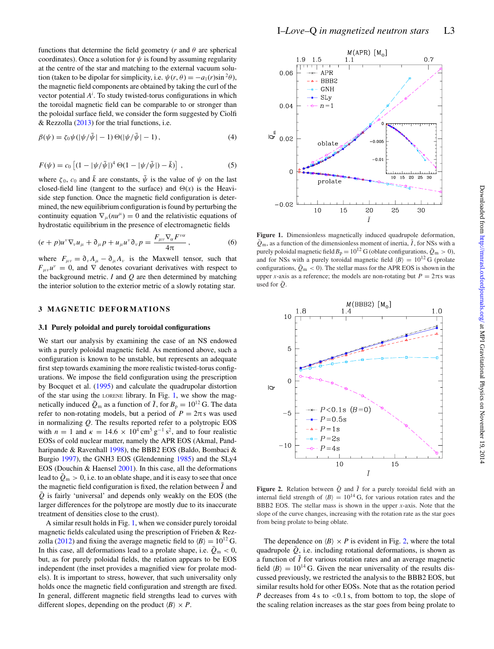functions that determine the field geometry ( $r$  and  $\theta$  are spherical coordinates). Once a solution for  $\psi$  is found by assuming regularity at the centre of the star and matching to the external vacuum solution (taken to be dipolar for simplicity, i.e.  $\psi(r, \theta) = -a_1(r) \sin^2 \theta$ ), the magnetic field components are obtained by taking the curl of the vector potential  $A^i$ . To study twisted-torus configurations in which the toroidal magnetic field can be comparable to or stronger than the poloidal surface field, we consider the form suggested by Ciolfi & Rezzolla [\(2013\)](#page-4-16) for the trial functions, i.e.

$$
\beta(\psi) = \zeta_0 \psi(|\psi/\bar{\psi}| - 1) \Theta(|\psi/\bar{\psi}| - 1), \tag{4}
$$

$$
F(\psi) = c_0 \left[ (1 - |\psi/\bar{\psi}|)^4 \Theta(1 - |\psi/\bar{\psi}|) - \bar{k} \right],
$$
 (5)

where  $\zeta_0$ ,  $c_0$  and  $\bar{k}$  are constants,  $\bar{\psi}$  is the value of  $\psi$  on the last closed-field line (tangent to the surface) and  $\Theta(x)$  is the Heaviside step function. Once the magnetic field configuration is determined, the new equilibrium configuration is found by perturbing the continuity equation  $\nabla_{\mu}(nu^{\mu}) = 0$  and the relativistic equations of hydrostatic equilibrium in the presence of electromagnetic fields

$$
(e+p)u^{\nu}\nabla_{\nu}u_{\mu}+\partial_{\mu}p+u_{\mu}u^{\nu}\partial_{\nu}p=\frac{F_{\mu\nu}\nabla_{\alpha}F^{\nu\alpha}}{4\pi}\,,\qquad (6)
$$

where  $F_{\mu\nu} = \partial_{\nu}A_{\mu} - \partial_{\mu}A_{\nu}$  is the Maxwell tensor, such that  $F_{\mu\nu}u^{\nu} = 0$ , and  $\nabla$  denotes covariant derivatives with respect to the background metric. *I* and *Q* are then determined by matching the interior solution to the exterior metric of a slowly rotating star.

## **3 MAGNETIC DEFORMATIONS**

#### **3.1 Purely poloidal and purely toroidal configurations**

We start our analysis by examining the case of an NS endowed with a purely poloidal magnetic field. As mentioned above, such a configuration is known to be unstable, but represents an adequate first step towards examining the more realistic twisted-torus configurations. We impose the field configuration using the prescription by Bocquet et al. [\(1995\)](#page-4-9) and calculate the quadrupolar distortion of the star using the LORENE library. In Fig. [1,](#page-2-0) we show the magnetically induced  $\bar{Q}_m$  as a function of  $\bar{I}$ , for  $B_p = 10^{12}$  G. The data refer to non-rotating models, but a period of  $P = 2\pi s$  was used in normalizing *Q*. The results reported refer to a polytropic EOS with *n* = 1 and  $\kappa$  = 14.6 × 10<sup>4</sup> cm<sup>5</sup> g<sup>-1</sup> s<sup>2</sup>, and to four realistic EOSs of cold nuclear matter, namely the APR EOS (Akmal, Pandharipande & Ravenhall [1998\)](#page-4-32), the BBB2 EOS (Baldo, Bombaci & Burgio [1997\)](#page-4-33), the GNH3 EOS (Glendenning [1985\)](#page-4-34) and the SLy4 EOS (Douchin & Haensel [2001\)](#page-4-35). In this case, all the deformations lead to  $\bar{Q}_{\rm m} > 0$ , i.e. to an oblate shape, and it is easy to see that once the magnetic field configuration is fixed, the relation between  $\bar{I}$  and  $\overline{Q}$  is fairly 'universal' and depends only weakly on the EOS (the larger differences for the polytrope are mostly due to its inaccurate treatment of densities close to the crust).

A similar result holds in Fig. [1,](#page-2-0) when we consider purely toroidal magnetic fields calculated using the prescription of Frieben & Rez-zolla [\(2012\)](#page-4-12) and fixing the average magnetic field to  $\langle B \rangle = 10^{12}$  G. In this case, all deformations lead to a prolate shape, i.e.  $\bar{Q}_{\text{m}} < 0$ , but, as for purely poloidal fields, the relation appears to be EOS independent (the inset provides a magnified view for prolate models). It is important to stress, however, that such universality only holds once the magnetic field configuration and strength are fixed. In general, different magnetic field strengths lead to curves with different slopes, depending on the product  $\langle B \rangle \times P$ .

<span id="page-2-0"></span> $0.06$ 

 $0.04$ 

 $\overline{\varphi}^{\text{E}}$  0.02

 $\overline{0}$ 

 $-0.02$ 



**Figure 1.** Dimensionless magnetically induced quadrupole deformation,  $\bar{Q}_m$ , as a function of the dimensionless moment of inertia,  $\bar{I}$ , for NSs with a purely poloidal magnetic field  $B_p = 10^{12}$  G (oblate configurations,  $\bar{Q}_m > 0$ ), and for NSs with a purely toroidal magnetic field  $\langle B \rangle = 10^{12}$  G (prolate configurations,  $\overline{Q}_m < 0$ ). The stellar mass for the APR EOS is shown in the upper *x*-axis as a reference; the models are non-rotating but  $P = 2\pi s$  was used for  $\bar{O}$ .

<span id="page-2-1"></span>

**Figure 2.** Relation between  $\overline{Q}$  and  $\overline{I}$  for a purely toroidal field with an internal field strength of  $\langle B \rangle = 10^{14}$  G, for various rotation rates and the BBB2 EOS. The stellar mass is shown in the upper *x*-axis. Note that the slope of the curve changes, increasing with the rotation rate as the star goes from being prolate to being oblate.

Th[e](#page-3-0) dependence on  $\langle B \rangle \times P$  is evident in Fig. [2,](#page-2-1) where the total quadrupole  $\overline{Q}$ , i.e. including rotational deformations, is shown as a function of  $\overline{I}$  for various rotation rates and an average magnetic field  $\langle B \rangle = 10^{14}$  G. Given the near universality of the results discussed previously, we restricted the analysis to the BBB2 EOS, but similar results hold for other EOSs. Note that as the rotation period *P* decreases from 4 s to <0.1 s, from bottom to top, the slope of the scaling relation increases as the star goes from being prolate to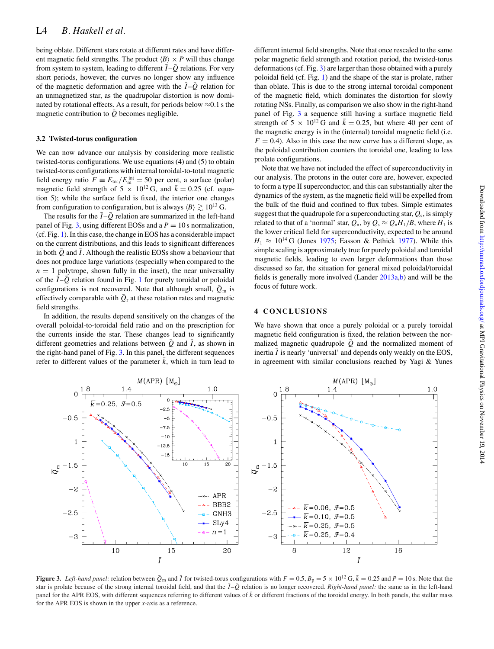being oblate. Different stars rotate at different rates and have different magnetic field strengths. The product  $\langle B \rangle \times P$  will thus change from system to system, leading to different  $\bar{I}{-}\bar{Q}$  relations. For very short periods, however, the curves no longer show any influence of the magnetic deformation and agree with the  $\overline{I} - \overline{Q}$  relation for an unmagnetized star, as the quadrupolar distortion is now dominated by rotational effects. As a result, for periods below  $\approx 0.1$  s the magnetic contribution to  $Q$  becomes negligible.

#### **3.2 Twisted-torus configuration**

We can now advance our analysis by considering more realistic twisted-torus configurations. We use equations (4) and (5) to obtain twisted-torus configurations with internal toroidal-to-total magnetic field energy ratio  $F = E_{\text{tor}}/E_{\text{m}}^{\text{int}} = 50$  per cent, a surface (polar) magnetic field strength of 5  $\times$  10<sup>12</sup> G, and  $\bar{k} = 0.25$  (cf. equation 5); while the surface field is fixed, the interior one changes from configuration to configuration, but is always  $\langle B \rangle \gtrsim 10^{13}$  G.

The results for the  $\overline{I} - \overline{Q}$  relation are summarized in the left-hand panel of Fig. [3,](#page-3-0) using different EOSs and a  $P = 10$  s normalization, (cf. Fig. [1\)](#page-2-0). In this case, the change in EOS has a considerable impact on the current distributions, and this leads to significant differences in both  $\bar{Q}$  and  $\bar{I}$ . Although the realistic EOSs show a behaviour that does not produce large variations (especially when compared to the  $n = 1$  polytrope, shown fully in the inset), the near universality of the  $\overline{I}$  -  $\overline{Q}$  relation found in Fig. [1](#page-2-0) for purely toroidal or poloidal configurations is not recovered. Note that although small,  $\bar{Q}_{\rm m}$  is effectively comparable with  $\overline{Q}_r$  at these rotation rates and magnetic field strengths.

In addition, the results depend sensitively on the changes of the overall poloidal-to-toroidal field ratio and on the prescription for the currents inside the star. These changes lead to significantly different geometries and relations between  $\overline{Q}$  and  $\overline{I}$ , as shown in the right-hand panel of Fig. [3.](#page-3-0) In this panel, the different sequences refer to different values of the parameter  $\bar{k}$ , which in turn lead to

different internal field strengths. Note that once rescaled to the same polar magnetic field strength and rotation period, the twisted-torus deformations (cf. Fig. [3\)](#page-3-0) are larger than those obtained with a purely poloidal field (cf. Fig. [1\)](#page-2-0) and the shape of the star is prolate, rather than oblate. This is due to the strong internal toroidal component of the magnetic field, which dominates the distortion for slowly rotating NSs. Finally, as comparison we also show in the right-hand panel of Fig. [3](#page-3-0) a sequence still having a surface magnetic field strength of 5  $\times$  10<sup>12</sup> G and  $\bar{k}$  = 0.25, but where 40 per cent of the magnetic energy is in the (internal) toroidal magnetic field (i.e.  $F = 0.4$ ). Also in this case the new curve has a different slope, as the poloidal contribution counters the toroidal one, leading to less prolate configurations.

Note that we have not included the effect of superconductivity in our analysis. The protons in the outer core are, however, expected to form a type II superconductor, and this can substantially alter the dynamics of the system, as the magnetic field will be expelled from the bulk of the fluid and confined to flux tubes. Simple estimates suggest that the quadrupole for a superconducting star,  $Q_s$ , is simply related to that of a 'normal' star,  $Q_n$ , by  $Q_s \approx Q_n H_1/B$ , where  $H_1$  is the lower critical field for superconductivity, expected to be around  $H_1 \approx 10^{14}$  G (Jones [1975;](#page-4-36) Easson & Pethick [1977\)](#page-4-37). While this simple scaling is approximately true for purely poloidal and toroidal magnetic fields, leading to even larger deformations than those discussed so far, the situation for general mixed poloidal/toroidal fields is generally more involved (Lander [2013a,](#page-4-38)[b\)](#page-4-39) and will be the focus of future work.

## **4 CONCLUSIONS**

We have shown that once a purely poloidal or a purely toroidal magnetic field configuration is fixed, the relation between the normalized magnetic quadrupole  $\overline{Q}$  and the normalized moment of inertia  $\overline{I}$  is nearly 'universal' and depends only weakly on the EOS, in agreement with similar conclusions reached by Yagi & Yunes

<span id="page-3-0"></span>

**Figure 3.** Left-hand panel: relation between  $\bar{Q}_m$  and  $\bar{I}$  for twisted-torus configurations with  $F = 0.5$ ,  $B_p = 5 \times 10^{12}$  G,  $\bar{k} = 0.25$  and  $P = 10$  s. Note that the star is prolate because of the strong internal toroidal field, and that the  $\overline{I} - \overline{Q}$  relation is no longer recovered. *Right-hand panel:* the same as in the left-hand panel for the APR EOS, with different sequences referring to different values of  $\bar{k}$  or different fractions of the toroidal energy. In both panels, the stellar mass for the APR EOS is shown in the upper *x*-axis as a reference.